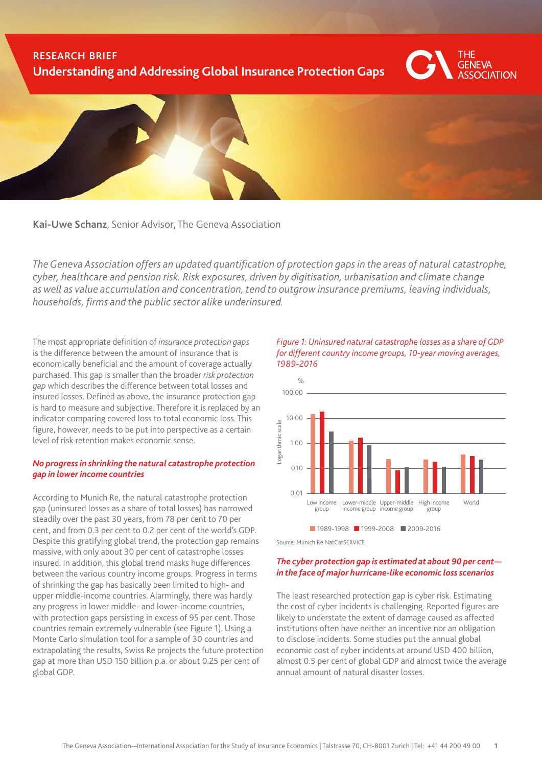# research brief **Understanding and Addressing Global Insurance Protection Gaps**





**Kai-Uwe Schanz**, Senior Advisor, The Geneva Association

*The Geneva Association offers an updated quantification of protection gaps in the areas of natural catastrophe, cyber, healthcare and pension risk. Risk exposures, driven by digitisation, urbanisation and climate change as well as value accumulation and concentration, tend to outgrow insurance premiums, leaving individuals, households, firms and the public sector alike underinsured.* 

The most appropriate definition of *insurance protection gaps* is the difference between the amount of insurance that is economically beneficial and the amount of coverage actually purchased. This gap is smaller than the broader *risk protection gap* which describes the difference between total losses and insured losses. Defined as above, the insurance protection gap is hard to measure and subjective. Therefore it is replaced by an indicator comparing covered loss to total economic loss. This figure, however, needs to be put into perspective as a certain level of risk retention makes economic sense.

# *No progress in shrinking the natural catastrophe protection gap in lower income countries*

According to Munich Re, the natural catastrophe protection gap (uninsured losses as a share of total losses) has narrowed steadily over the past 30 years, from 78 per cent to 70 per cent, and from 0.3 per cent to 0.2 per cent of the world's GDP. Despite this gratifying global trend, the protection gap remains massive, with only about 30 per cent of catastrophe losses insured. In addition, this global trend masks huge differences between the various country income groups. Progress in terms of shrinking the gap has basically been limited to high- and upper middle-income countries. Alarmingly, there was hardly any progress in lower middle- and lower-income countries, with protection gaps persisting in excess of 95 per cent. Those countries remain extremely vulnerable (see Figure 1). Using a Monte Carlo simulation tool for a sample of 30 countries and extrapolating the results, Swiss Re projects the future protection gap at more than USD 150 billion p.a. or about 0.25 per cent of global GDP.





#### *The cyber protection gap is estimated at about 90 per cent in the face of major hurricane-like economic loss scenarios*

The least researched protection gap is cyber risk. Estimating the cost of cyber incidents is challenging. Reported figures are likely to understate the extent of damage caused as affected institutions often have neither an incentive nor an obligation to disclose incidents. Some studies put the annual global economic cost of cyber incidents at around USD 400 billion, almost 0.5 per cent of global GDP and almost twice the average annual amount of natural disaster losses.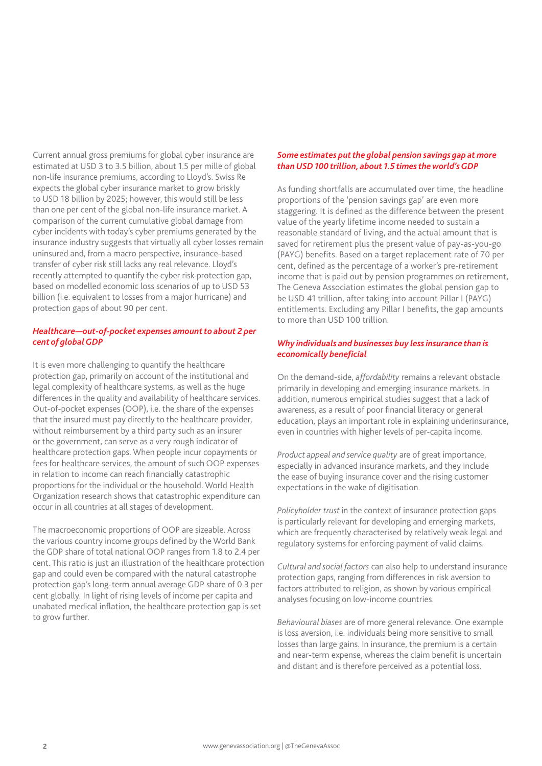Current annual gross premiums for global cyber insurance are estimated at USD 3 to 3.5 billion, about 1.5 per mille of global non-life insurance premiums, according to Lloyd's. Swiss Re expects the global cyber insurance market to grow briskly to USD 18 billion by 2025; however, this would still be less than one per cent of the global non-life insurance market. A comparison of the current cumulative global damage from cyber incidents with today's cyber premiums generated by the insurance industry suggests that virtually all cyber losses remain uninsured and, from a macro perspective, insurance-based transfer of cyber risk still lacks any real relevance. Lloyd's recently attempted to quantify the cyber risk protection gap, based on modelled economic loss scenarios of up to USD 53 billion (i.e. equivalent to losses from a major hurricane) and protection gaps of about 90 per cent.

### *Healthcare—out-of-pocket expenses amount to about 2 per cent of global GDP*

It is even more challenging to quantify the healthcare protection gap, primarily on account of the institutional and legal complexity of healthcare systems, as well as the huge differences in the quality and availability of healthcare services. Out-of-pocket expenses (OOP), i.e. the share of the expenses that the insured must pay directly to the healthcare provider, without reimbursement by a third party such as an insurer or the government, can serve as a very rough indicator of healthcare protection gaps. When people incur copayments or fees for healthcare services, the amount of such OOP expenses in relation to income can reach financially catastrophic proportions for the individual or the household. World Health Organization research shows that catastrophic expenditure can occur in all countries at all stages of development.

The macroeconomic proportions of OOP are sizeable. Across the various country income groups defined by the World Bank the GDP share of total national OOP ranges from 1.8 to 2.4 per cent. This ratio is just an illustration of the healthcare protection gap and could even be compared with the natural catastrophe protection gap's long-term annual average GDP share of 0.3 per cent globally. In light of rising levels of income per capita and unabated medical inflation, the healthcare protection gap is set to grow further.

#### *Some estimates put the global pension savings gap at more than USD 100 trillion, about 1.5 times the world's GDP*

As funding shortfalls are accumulated over time, the headline proportions of the 'pension savings gap' are even more staggering. It is defined as the difference between the present value of the yearly lifetime income needed to sustain a reasonable standard of living, and the actual amount that is saved for retirement plus the present value of pay-as-you-go (PAYG) benefits. Based on a target replacement rate of 70 per cent, defined as the percentage of a worker's pre-retirement income that is paid out by pension programmes on retirement, The Geneva Association estimates the global pension gap to be USD 41 trillion, after taking into account Pillar I (PAYG) entitlements. Excluding any Pillar I benefits, the gap amounts to more than USD 100 trillion.

# *Why individuals and businesses buy less insurance than is economically beneficial*

On the demand-side, *affordability* remains a relevant obstacle primarily in developing and emerging insurance markets. In addition, numerous empirical studies suggest that a lack of awareness, as a result of poor financial literacy or general education, plays an important role in explaining underinsurance, even in countries with higher levels of per-capita income.

*Product appeal and service quality* are of great importance, especially in advanced insurance markets, and they include the ease of buying insurance cover and the rising customer expectations in the wake of digitisation.

*Policyholder trust* in the context of insurance protection gaps is particularly relevant for developing and emerging markets, which are frequently characterised by relatively weak legal and regulatory systems for enforcing payment of valid claims.

*Cultural and social factors* can also help to understand insurance protection gaps, ranging from differences in risk aversion to factors attributed to religion, as shown by various empirical analyses focusing on low-income countries.

*Behavioural biases* are of more general relevance. One example is loss aversion, i.e. individuals being more sensitive to small losses than large gains. In insurance, the premium is a certain and near-term expense, whereas the claim benefit is uncertain and distant and is therefore perceived as a potential loss.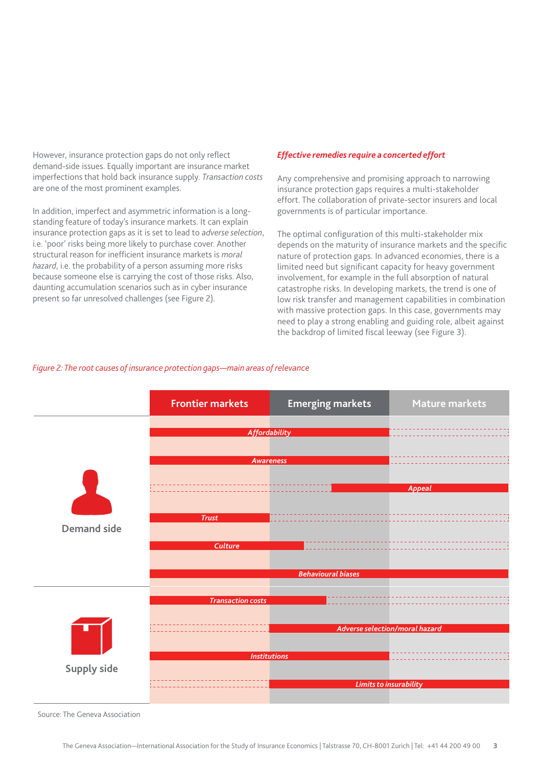However, insurance protection gaps do not only reflect demand-side issues. Equally important are insurance market imperfections that hold back insurance supply. *Transaction costs*  are one of the most prominent examples.

In addition, imperfect and asymmetric information is a longstanding feature of today's insurance markets. It can explain insurance protection gaps as it is set to lead to *adverse selection*, i.e. 'poor' risks being more likely to purchase cover. Another structural reason for inefficient insurance markets is *moral hazard*, i.e. the probability of a person assuming more risks because someone else is carrying the cost of those risks. Also, daunting accumulation scenarios such as in cyber insurance present so far unresolved challenges (see Figure 2).

# *Effective remedies require a concerted effort*

Any comprehensive and promising approach to narrowing insurance protection gaps requires a multi-stakeholder effort. The collaboration of private-sector insurers and local governments is of particular importance.

The optimal configuration of this multi-stakeholder mix depends on the maturity of insurance markets and the specific nature of protection gaps. In advanced economies, there is a limited need but significant capacity for heavy government involvement, for example in the full absorption of natural catastrophe risks. In developing markets, the trend is one of low risk transfer and management capabilities in combination with massive protection gaps. In this case, governments may need to play a strong enabling and guiding role, albeit against the backdrop of limited fiscal leeway (see Figure 3).

# *Figure 2: The root causes of insurance protection gaps—main areas of relevance*



Source: The Geneva Association